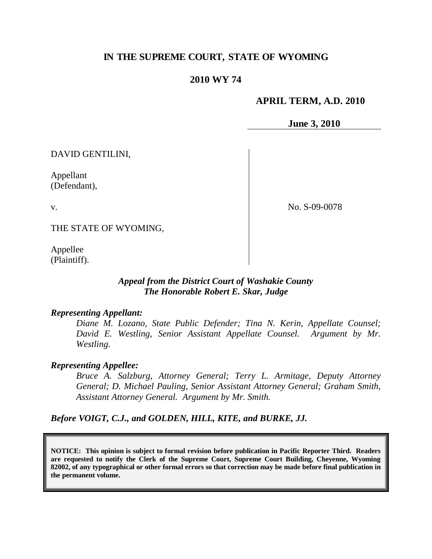## **IN THE SUPREME COURT, STATE OF WYOMING**

## **2010 WY 74**

### **APRIL TERM, A.D. 2010**

**June 3, 2010**

DAVID GENTILINI,

Appellant (Defendant),

v.

No. S-09-0078

THE STATE OF WYOMING,

Appellee (Plaintiff).

## *Appeal from the District Court of Washakie County The Honorable Robert E. Skar, Judge*

### *Representing Appellant:*

*Diane M. Lozano, State Public Defender; Tina N. Kerin, Appellate Counsel; David E. Westling, Senior Assistant Appellate Counsel. Argument by Mr. Westling.*

### *Representing Appellee:*

*Bruce A. Salzburg, Attorney General; Terry L. Armitage, Deputy Attorney General; D. Michael Pauling, Senior Assistant Attorney General; Graham Smith, Assistant Attorney General. Argument by Mr. Smith.*

*Before VOIGT, C.J., and GOLDEN, HILL, KITE, and BURKE, JJ.*

**NOTICE: This opinion is subject to formal revision before publication in Pacific Reporter Third. Readers are requested to notify the Clerk of the Supreme Court, Supreme Court Building, Cheyenne, Wyoming 82002, of any typographical or other formal errors so that correction may be made before final publication in the permanent volume.**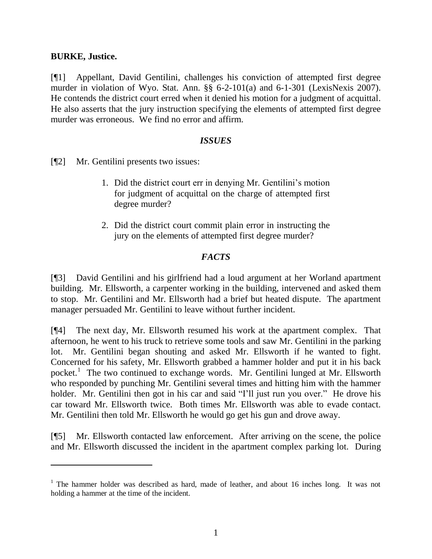## **BURKE, Justice.**

 $\overline{a}$ 

[¶1] Appellant, David Gentilini, challenges his conviction of attempted first degree murder in violation of Wyo. Stat. Ann. §§ 6-2-101(a) and 6-1-301 (LexisNexis 2007). He contends the district court erred when it denied his motion for a judgment of acquittal. He also asserts that the jury instruction specifying the elements of attempted first degree murder was erroneous. We find no error and affirm.

## *ISSUES*

[¶2] Mr. Gentilini presents two issues:

- 1. Did the district court err in denying Mr. Gentilini's motion for judgment of acquittal on the charge of attempted first degree murder?
- 2. Did the district court commit plain error in instructing the jury on the elements of attempted first degree murder?

## *FACTS*

[¶3] David Gentilini and his girlfriend had a loud argument at her Worland apartment building. Mr. Ellsworth, a carpenter working in the building, intervened and asked them to stop. Mr. Gentilini and Mr. Ellsworth had a brief but heated dispute. The apartment manager persuaded Mr. Gentilini to leave without further incident.

[¶4] The next day, Mr. Ellsworth resumed his work at the apartment complex. That afternoon, he went to his truck to retrieve some tools and saw Mr. Gentilini in the parking lot. Mr. Gentilini began shouting and asked Mr. Ellsworth if he wanted to fight. Concerned for his safety, Mr. Ellsworth grabbed a hammer holder and put it in his back pocket.<sup>1</sup> The two continued to exchange words. Mr. Gentilini lunged at Mr. Ellsworth who responded by punching Mr. Gentilini several times and hitting him with the hammer holder. Mr. Gentilini then got in his car and said "I'll just run you over." He drove his car toward Mr. Ellsworth twice. Both times Mr. Ellsworth was able to evade contact. Mr. Gentilini then told Mr. Ellsworth he would go get his gun and drove away.

[¶5] Mr. Ellsworth contacted law enforcement. After arriving on the scene, the police and Mr. Ellsworth discussed the incident in the apartment complex parking lot. During

<sup>&</sup>lt;sup>1</sup> The hammer holder was described as hard, made of leather, and about 16 inches long. It was not holding a hammer at the time of the incident.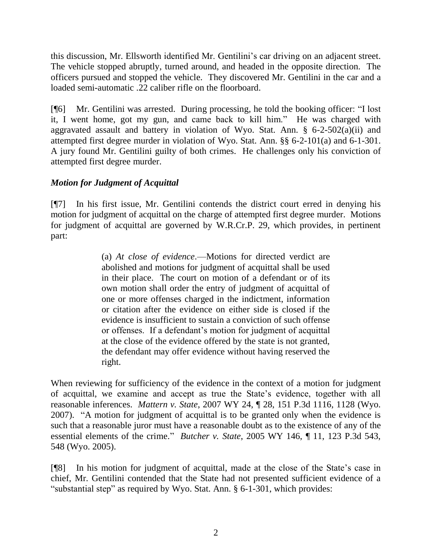this discussion, Mr. Ellsworth identified Mr. Gentilini's car driving on an adjacent street. The vehicle stopped abruptly, turned around, and headed in the opposite direction. The officers pursued and stopped the vehicle. They discovered Mr. Gentilini in the car and a loaded semi-automatic .22 caliber rifle on the floorboard.

[¶6] Mr. Gentilini was arrested. During processing, he told the booking officer: "I lost it, I went home, got my gun, and came back to kill him." He was charged with aggravated assault and battery in violation of Wyo. Stat. Ann.  $\S$  6-2-502(a)(ii) and attempted first degree murder in violation of Wyo. Stat. Ann. §§ 6-2-101(a) and 6-1-301. A jury found Mr. Gentilini guilty of both crimes. He challenges only his conviction of attempted first degree murder.

# *Motion for Judgment of Acquittal*

[¶7] In his first issue, Mr. Gentilini contends the district court erred in denying his motion for judgment of acquittal on the charge of attempted first degree murder. Motions for judgment of acquittal are governed by W.R.Cr.P. 29, which provides, in pertinent part:

> (a) *At close of evidence*.—Motions for directed verdict are abolished and motions for judgment of acquittal shall be used in their place. The court on motion of a defendant or of its own motion shall order the entry of judgment of acquittal of one or more offenses charged in the indictment, information or citation after the evidence on either side is closed if the evidence is insufficient to sustain a conviction of such offense or offenses. If a defendant's motion for judgment of acquittal at the close of the evidence offered by the state is not granted, the defendant may offer evidence without having reserved the right.

When reviewing for sufficiency of the evidence in the context of a motion for judgment of acquittal, we examine and accept as true the State's evidence, together with all reasonable inferences. *Mattern v. State*, 2007 WY 24, ¶ 28, 151 P.3d 1116, 1128 (Wyo. 2007). "A motion for judgment of acquittal is to be granted only when the evidence is such that a reasonable juror must have a reasonable doubt as to the existence of any of the essential elements of the crime." *Butcher v. State*, 2005 WY 146, ¶ 11, 123 P.3d 543, 548 (Wyo. 2005).

[¶8] In his motion for judgment of acquittal, made at the close of the State's case in chief, Mr. Gentilini contended that the State had not presented sufficient evidence of a "substantial step" as required by Wyo. Stat. Ann. § 6-1-301, which provides: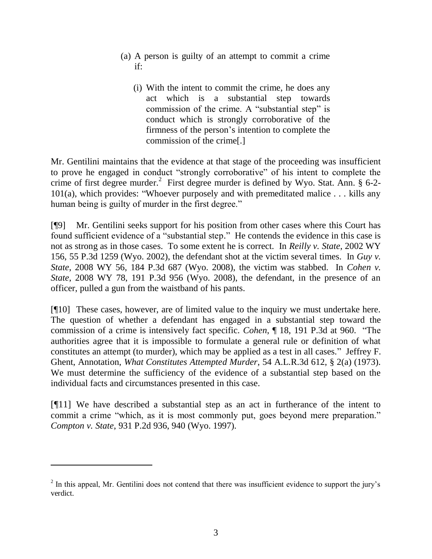- (a) A person is guilty of an attempt to commit a crime if:
	- (i) With the intent to commit the crime, he does any act which is a substantial step towards commission of the crime. A "substantial step" is conduct which is strongly corroborative of the firmness of the person's intention to complete the commission of the crime[.]

Mr. Gentilini maintains that the evidence at that stage of the proceeding was insufficient to prove he engaged in conduct "strongly corroborative" of his intent to complete the crime of first degree murder.<sup>2</sup> First degree murder is defined by Wyo. Stat. Ann. § 6-2-101(a), which provides: "Whoever purposely and with premeditated malice . . . kills any human being is guilty of murder in the first degree."

[¶9] Mr. Gentilini seeks support for his position from other cases where this Court has found sufficient evidence of a "substantial step." He contends the evidence in this case is not as strong as in those cases. To some extent he is correct. In *Reilly v. State*, 2002 WY 156, 55 P.3d 1259 (Wyo. 2002), the defendant shot at the victim several times. In *Guy v. State*, 2008 WY 56, 184 P.3d 687 (Wyo. 2008), the victim was stabbed. In *Cohen v. State*, 2008 WY 78, 191 P.3d 956 (Wyo. 2008), the defendant, in the presence of an officer, pulled a gun from the waistband of his pants.

[¶10] These cases, however, are of limited value to the inquiry we must undertake here. The question of whether a defendant has engaged in a substantial step toward the commission of a crime is intensively fact specific. *Cohen*, ¶ 18, 191 P.3d at 960. "The authorities agree that it is impossible to formulate a general rule or definition of what constitutes an attempt (to murder), which may be applied as a test in all cases." Jeffrey F. Ghent, Annotation, *What Constitutes Attempted Murder*, 54 A.L.R.3d 612, § 2(a) (1973). We must determine the sufficiency of the evidence of a substantial step based on the individual facts and circumstances presented in this case.

[¶11] We have described a substantial step as an act in furtherance of the intent to commit a crime "which, as it is most commonly put, goes beyond mere preparation." *Compton v. State*, 931 P.2d 936, 940 (Wyo. 1997).

 $\overline{a}$ 

 $2$  In this appeal, Mr. Gentilini does not contend that there was insufficient evidence to support the jury's verdict.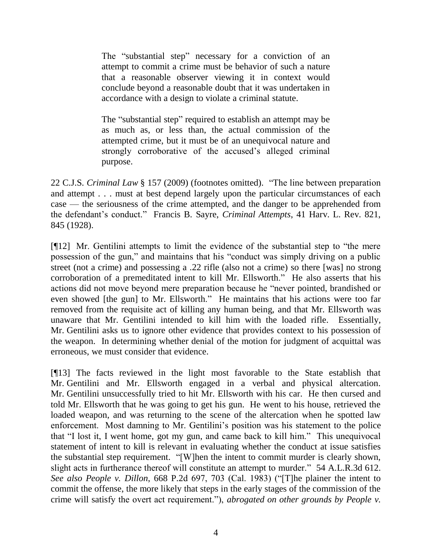The "substantial step" necessary for a conviction of an attempt to commit a crime must be behavior of such a nature that a reasonable observer viewing it in context would conclude beyond a reasonable doubt that it was undertaken in accordance with a design to violate a criminal statute.

The "substantial step" required to establish an attempt may be as much as, or less than, the actual commission of the attempted crime, but it must be of an unequivocal nature and strongly corroborative of the accused's alleged criminal purpose.

22 C.J.S. *Criminal Law* § 157 (2009) (footnotes omitted). "The line between preparation and attempt . . . must at best depend largely upon the particular circumstances of each case — the seriousness of the crime attempted, and the danger to be apprehended from the defendant's conduct." Francis B. Sayre, *Criminal Attempts*, 41 Harv. L. Rev. 821, 845 (1928).

[¶12] Mr. Gentilini attempts to limit the evidence of the substantial step to "the mere possession of the gun," and maintains that his "conduct was simply driving on a public street (not a crime) and possessing a .22 rifle (also not a crime) so there [was] no strong corroboration of a premeditated intent to kill Mr. Ellsworth." He also asserts that his actions did not move beyond mere preparation because he "never pointed, brandished or even showed [the gun] to Mr. Ellsworth." He maintains that his actions were too far removed from the requisite act of killing any human being, and that Mr. Ellsworth was unaware that Mr. Gentilini intended to kill him with the loaded rifle. Essentially, Mr. Gentilini asks us to ignore other evidence that provides context to his possession of the weapon. In determining whether denial of the motion for judgment of acquittal was erroneous, we must consider that evidence.

[¶13] The facts reviewed in the light most favorable to the State establish that Mr. Gentilini and Mr. Ellsworth engaged in a verbal and physical altercation. Mr. Gentilini unsuccessfully tried to hit Mr. Ellsworth with his car. He then cursed and told Mr. Ellsworth that he was going to get his gun. He went to his house, retrieved the loaded weapon, and was returning to the scene of the altercation when he spotted law enforcement. Most damning to Mr. Gentilini's position was his statement to the police that "I lost it, I went home, got my gun, and came back to kill him." This unequivocal statement of intent to kill is relevant in evaluating whether the conduct at issue satisfies the substantial step requirement. "[W]hen the intent to commit murder is clearly shown, slight acts in furtherance thereof will constitute an attempt to murder." 54 A.L.R.3d 612. *See also People v. Dillon*, 668 P.2d 697, 703 (Cal. 1983) ("[T]he plainer the intent to commit the offense, the more likely that steps in the early stages of the commission of the crime will satisfy the overt act requirement."), *abrogated on other grounds by People v.*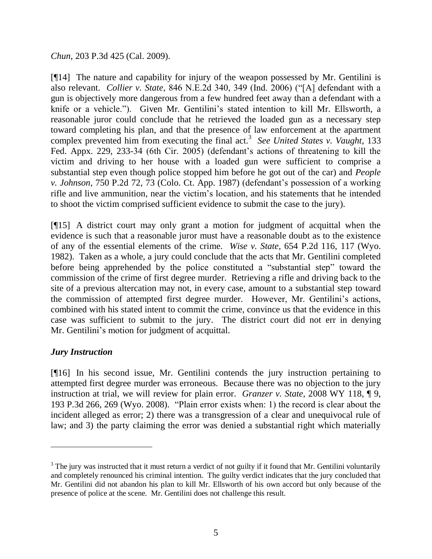*Chun*, 203 P.3d 425 (Cal. 2009).

[¶14] The nature and capability for injury of the weapon possessed by Mr. Gentilini is also relevant. *Collier v. State*, 846 N.E.2d 340, 349 (Ind. 2006) ("[A] defendant with a gun is objectively more dangerous from a few hundred feet away than a defendant with a knife or a vehicle."). Given Mr. Gentilini's stated intention to kill Mr. Ellsworth, a reasonable juror could conclude that he retrieved the loaded gun as a necessary step toward completing his plan, and that the presence of law enforcement at the apartment complex prevented him from executing the final act. 3 *See United States v. Vaught*, 133 Fed. Appx. 229, 233-34 (6th Cir. 2005) (defendant's actions of threatening to kill the victim and driving to her house with a loaded gun were sufficient to comprise a substantial step even though police stopped him before he got out of the car) and *People v. Johnson*, 750 P.2d 72, 73 (Colo. Ct. App. 1987) (defendant's possession of a working rifle and live ammunition, near the victim's location, and his statements that he intended to shoot the victim comprised sufficient evidence to submit the case to the jury).

[¶15] A district court may only grant a motion for judgment of acquittal when the evidence is such that a reasonable juror must have a reasonable doubt as to the existence of any of the essential elements of the crime. *Wise v. State*, 654 P.2d 116, 117 (Wyo. 1982). Taken as a whole, a jury could conclude that the acts that Mr. Gentilini completed before being apprehended by the police constituted a "substantial step" toward the commission of the crime of first degree murder. Retrieving a rifle and driving back to the site of a previous altercation may not, in every case, amount to a substantial step toward the commission of attempted first degree murder. However, Mr. Gentilini's actions, combined with his stated intent to commit the crime, convince us that the evidence in this case was sufficient to submit to the jury. The district court did not err in denying Mr. Gentilini's motion for judgment of acquittal.

# *Jury Instruction*

 $\overline{a}$ 

[¶16] In his second issue, Mr. Gentilini contends the jury instruction pertaining to attempted first degree murder was erroneous. Because there was no objection to the jury instruction at trial, we will review for plain error. *Granzer v. State*, 2008 WY 118, ¶ 9, 193 P.3d 266, 269 (Wyo. 2008). "Plain error exists when: 1) the record is clear about the incident alleged as error; 2) there was a transgression of a clear and unequivocal rule of law; and 3) the party claiming the error was denied a substantial right which materially

 $3$  The jury was instructed that it must return a verdict of not guilty if it found that Mr. Gentilini voluntarily and completely renounced his criminal intention. The guilty verdict indicates that the jury concluded that Mr. Gentilini did not abandon his plan to kill Mr. Ellsworth of his own accord but only because of the presence of police at the scene. Mr. Gentilini does not challenge this result.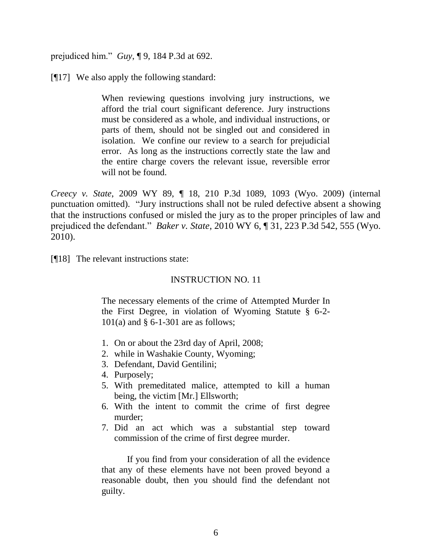prejudiced him." *Guy*, ¶ 9, 184 P.3d at 692.

[¶17] We also apply the following standard:

When reviewing questions involving jury instructions, we afford the trial court significant deference. Jury instructions must be considered as a whole, and individual instructions, or parts of them, should not be singled out and considered in isolation. We confine our review to a search for prejudicial error. As long as the instructions correctly state the law and the entire charge covers the relevant issue, reversible error will not be found.

*Creecy v. State*, 2009 WY 89, ¶ 18, 210 P.3d 1089, 1093 (Wyo. 2009) (internal punctuation omitted). "Jury instructions shall not be ruled defective absent a showing that the instructions confused or misled the jury as to the proper principles of law and prejudiced the defendant." *Baker v. State*, 2010 WY 6, ¶ 31, 223 P.3d 542, 555 (Wyo. 2010).

[¶18] The relevant instructions state:

## INSTRUCTION NO. 11

The necessary elements of the crime of Attempted Murder In the First Degree, in violation of Wyoming Statute § 6-2- 101(a) and § 6-1-301 are as follows;

- 1. On or about the 23rd day of April, 2008;
- 2. while in Washakie County, Wyoming;
- 3. Defendant, David Gentilini;
- 4. Purposely;
- 5. With premeditated malice, attempted to kill a human being, the victim [Mr.] Ellsworth;
- 6. With the intent to commit the crime of first degree murder;
- 7. Did an act which was a substantial step toward commission of the crime of first degree murder.

If you find from your consideration of all the evidence that any of these elements have not been proved beyond a reasonable doubt, then you should find the defendant not guilty.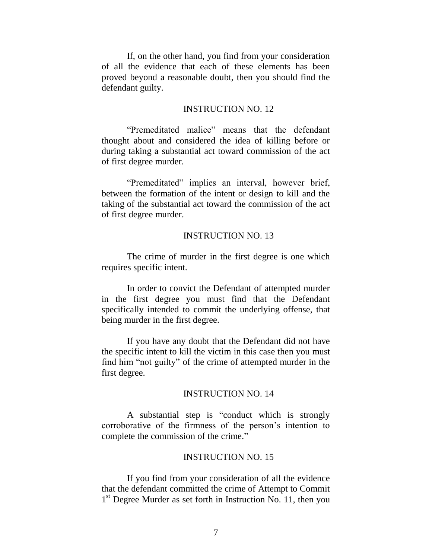If, on the other hand, you find from your consideration of all the evidence that each of these elements has been proved beyond a reasonable doubt, then you should find the defendant guilty.

### INSTRUCTION NO. 12

"Premeditated malice" means that the defendant thought about and considered the idea of killing before or during taking a substantial act toward commission of the act of first degree murder.

"Premeditated" implies an interval, however brief, between the formation of the intent or design to kill and the taking of the substantial act toward the commission of the act of first degree murder.

### INSTRUCTION NO. 13

The crime of murder in the first degree is one which requires specific intent.

In order to convict the Defendant of attempted murder in the first degree you must find that the Defendant specifically intended to commit the underlying offense, that being murder in the first degree.

If you have any doubt that the Defendant did not have the specific intent to kill the victim in this case then you must find him "not guilty" of the crime of attempted murder in the first degree.

### INSTRUCTION NO. 14

A substantial step is "conduct which is strongly corroborative of the firmness of the person's intention to complete the commission of the crime."

#### INSTRUCTION NO. 15

If you find from your consideration of all the evidence that the defendant committed the crime of Attempt to Commit 1<sup>st</sup> Degree Murder as set forth in Instruction No. 11, then you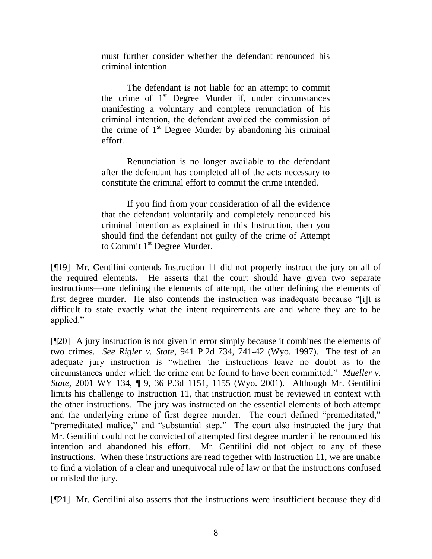must further consider whether the defendant renounced his criminal intention.

The defendant is not liable for an attempt to commit the crime of  $1<sup>st</sup>$  Degree Murder if, under circumstances manifesting a voluntary and complete renunciation of his criminal intention, the defendant avoided the commission of the crime of  $1<sup>st</sup>$  Degree Murder by abandoning his criminal effort.

Renunciation is no longer available to the defendant after the defendant has completed all of the acts necessary to constitute the criminal effort to commit the crime intended.

If you find from your consideration of all the evidence that the defendant voluntarily and completely renounced his criminal intention as explained in this Instruction, then you should find the defendant not guilty of the crime of Attempt to Commit 1<sup>st</sup> Degree Murder.

[¶19] Mr. Gentilini contends Instruction 11 did not properly instruct the jury on all of the required elements. He asserts that the court should have given two separate instructions—one defining the elements of attempt, the other defining the elements of first degree murder. He also contends the instruction was inadequate because "[i]t is difficult to state exactly what the intent requirements are and where they are to be applied."

[¶20] A jury instruction is not given in error simply because it combines the elements of two crimes. *See Rigler v. State*, 941 P.2d 734, 741-42 (Wyo. 1997). The test of an adequate jury instruction is "whether the instructions leave no doubt as to the circumstances under which the crime can be found to have been committed." *Mueller v. State*, 2001 WY 134, ¶ 9, 36 P.3d 1151, 1155 (Wyo. 2001). Although Mr. Gentilini limits his challenge to Instruction 11, that instruction must be reviewed in context with the other instructions. The jury was instructed on the essential elements of both attempt and the underlying crime of first degree murder. The court defined "premeditated," "premeditated malice," and "substantial step." The court also instructed the jury that Mr. Gentilini could not be convicted of attempted first degree murder if he renounced his intention and abandoned his effort. Mr. Gentilini did not object to any of these instructions. When these instructions are read together with Instruction 11, we are unable to find a violation of a clear and unequivocal rule of law or that the instructions confused or misled the jury.

[¶21] Mr. Gentilini also asserts that the instructions were insufficient because they did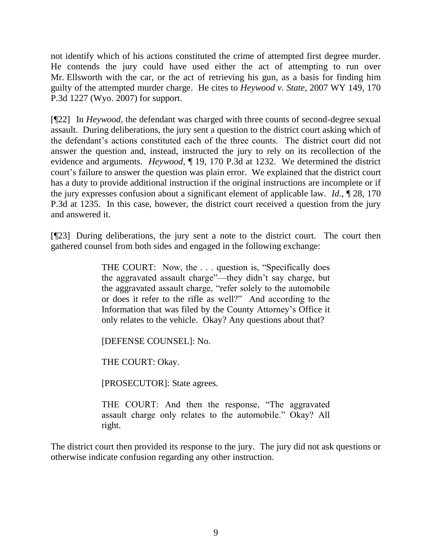not identify which of his actions constituted the crime of attempted first degree murder. He contends the jury could have used either the act of attempting to run over Mr. Ellsworth with the car, or the act of retrieving his gun, as a basis for finding him guilty of the attempted murder charge. He cites to *Heywood v. State*, 2007 WY 149, 170 P.3d 1227 (Wyo. 2007) for support.

[¶22] In *Heywood*, the defendant was charged with three counts of second-degree sexual assault. During deliberations, the jury sent a question to the district court asking which of the defendant's actions constituted each of the three counts. The district court did not answer the question and, instead, instructed the jury to rely on its recollection of the evidence and arguments. *Heywood*, ¶ 19, 170 P.3d at 1232. We determined the district court's failure to answer the question was plain error. We explained that the district court has a duty to provide additional instruction if the original instructions are incomplete or if the jury expresses confusion about a significant element of applicable law. *Id*., ¶ 28, 170 P.3d at 1235. In this case, however, the district court received a question from the jury and answered it.

[¶23] During deliberations, the jury sent a note to the district court. The court then gathered counsel from both sides and engaged in the following exchange:

> THE COURT: Now, the . . . question is, "Specifically does the aggravated assault charge"—they didn't say charge, but the aggravated assault charge, "refer solely to the automobile or does it refer to the rifle as well?" And according to the Information that was filed by the County Attorney's Office it only relates to the vehicle. Okay? Any questions about that?

[DEFENSE COUNSEL]: No.

THE COURT: Okay.

[PROSECUTOR]: State agrees.

THE COURT: And then the response, "The aggravated assault charge only relates to the automobile." Okay? All right.

The district court then provided its response to the jury. The jury did not ask questions or otherwise indicate confusion regarding any other instruction.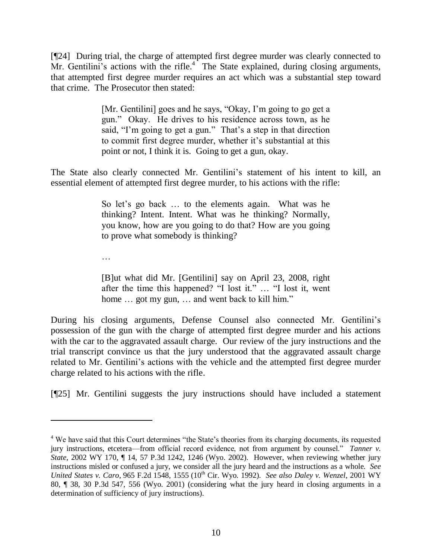[¶24] During trial, the charge of attempted first degree murder was clearly connected to Mr. Gentilini's actions with the rifle.<sup>4</sup> The State explained, during closing arguments, that attempted first degree murder requires an act which was a substantial step toward that crime. The Prosecutor then stated:

> [Mr. Gentilini] goes and he says, "Okay, I'm going to go get a gun." Okay. He drives to his residence across town, as he said, "I'm going to get a gun." That's a step in that direction to commit first degree murder, whether it's substantial at this point or not, I think it is. Going to get a gun, okay.

The State also clearly connected Mr. Gentilini's statement of his intent to kill, an essential element of attempted first degree murder, to his actions with the rifle:

> So let's go back … to the elements again. What was he thinking? Intent. Intent. What was he thinking? Normally, you know, how are you going to do that? How are you going to prove what somebody is thinking?

…

 $\overline{a}$ 

[B]ut what did Mr. [Gentilini] say on April 23, 2008, right after the time this happened? "I lost it." … "I lost it, went home ... got my gun, ... and went back to kill him."

During his closing arguments, Defense Counsel also connected Mr. Gentilini's possession of the gun with the charge of attempted first degree murder and his actions with the car to the aggravated assault charge. Our review of the jury instructions and the trial transcript convince us that the jury understood that the aggravated assault charge related to Mr. Gentilini's actions with the vehicle and the attempted first degree murder charge related to his actions with the rifle.

[¶25] Mr. Gentilini suggests the jury instructions should have included a statement

<sup>&</sup>lt;sup>4</sup> We have said that this Court determines "the State's theories from its charging documents, its requested jury instructions, etcetera—from official record evidence, not from argument by counsel." *Tanner v. State*, 2002 WY 170, ¶ 14, 57 P.3d 1242, 1246 (Wyo. 2002). However, when reviewing whether jury instructions misled or confused a jury, we consider all the jury heard and the instructions as a whole. *See United States v. Caro*, 965 F.2d 1548, 1555 (10th Cir. Wyo. 1992). *See also Daley v. Wenzel*, 2001 WY 80, ¶ 38, 30 P.3d 547, 556 (Wyo. 2001) (considering what the jury heard in closing arguments in a determination of sufficiency of jury instructions).